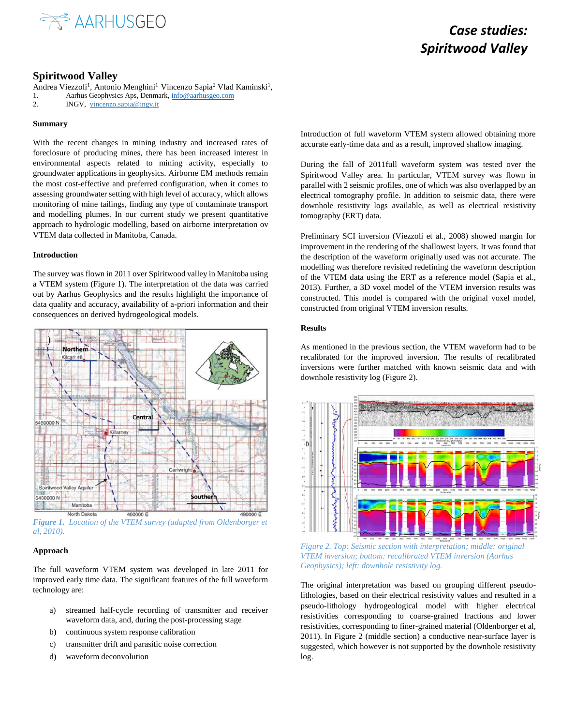

# *Case studies: Spiritwood Valley*

## **Spiritwood Valley**

Andrea Viezzoli<sup>1</sup>, Antonio Menghini<sup>1</sup> Vincenzo Sapia<sup>2</sup> Vlad Kaminski<sup>1</sup>, 1. Aarhus Geophysics Aps, Denmark[, info@aarhusgeo.com](mailto:info@aarhusgeo.com)

2. INGV, vincenzo.sapia@ingv.it

### **Summary**

With the recent changes in mining industry and increased rates of foreclosure of producing mines, there has been increased interest in environmental aspects related to mining activity, especially to groundwater applications in geophysics. Airborne EM methods remain the most cost-effective and preferred configuration, when it comes to assessing groundwater setting with high level of accuracy, which allows monitoring of mine tailings, finding any type of contaminate transport and modelling plumes. In our current study we present quantitative approach to hydrologic modelling, based on airborne interpretation ov VTEM data collected in Manitoba, Canada.

## **Introduction**

The survey was flown in 2011 over Spiritwood valley in Manitoba using a VTEM system (Figure 1). The interpretation of the data was carried out by Aarhus Geophysics and the results highlight the importance of data quality and accuracy, availability of a-priori information and their consequences on derived hydrogeological models.



*Figure 1. Location of the VTEM survey (adapted from Oldenborger et al, 2010).*

### **Approach**

The full waveform VTEM system was developed in late 2011 for improved early time data. The significant features of the full waveform technology are:

- a) streamed half-cycle recording of transmitter and receiver waveform data, and, during the post-processing stage
- b) continuous system response calibration
- c) transmitter drift and parasitic noise correction
- d) waveform deconvolution

Introduction of full waveform VTEM system allowed obtaining more accurate early-time data and as a result, improved shallow imaging.

During the fall of 2011full waveform system was tested over the Spiritwood Valley area. In particular, VTEM survey was flown in parallel with 2 seismic profiles, one of which was also overlapped by an electrical tomography profile. In addition to seismic data, there were downhole resistivity logs available, as well as electrical resistivity tomography (ERT) data.

Preliminary SCI inversion (Viezzoli et al., 2008) showed margin for improvement in the rendering of the shallowest layers. It was found that the description of the waveform originally used was not accurate. The modelling was therefore revisited redefining the waveform description of the VTEM data using the ERT as a reference model (Sapia et al., 2013). Further, a 3D voxel model of the VTEM inversion results was constructed. This model is compared with the original voxel model, constructed from original VTEM inversion results.

## **Results**

As mentioned in the previous section, the VTEM waveform had to be recalibrated for the improved inversion. The results of recalibrated inversions were further matched with known seismic data and with downhole resistivity log (Figure 2).



*Figure 2. Top: Seismic section with interpretation; middle: original VTEM inversion; bottom: recalibrated VTEM inversion (Aarhus Geophysics); left: downhole resistivity log.*

The original interpretation was based on grouping different pseudolithologies, based on their electrical resistivity values and resulted in a pseudo-lithology hydrogeological model with higher electrical resistivities corresponding to coarse-grained fractions and lower resistivities, corresponding to finer-grained material (Oldenborger et al, 2011). In Figure 2 (middle section) a conductive near-surface layer is suggested, which however is not supported by the downhole resistivity log.